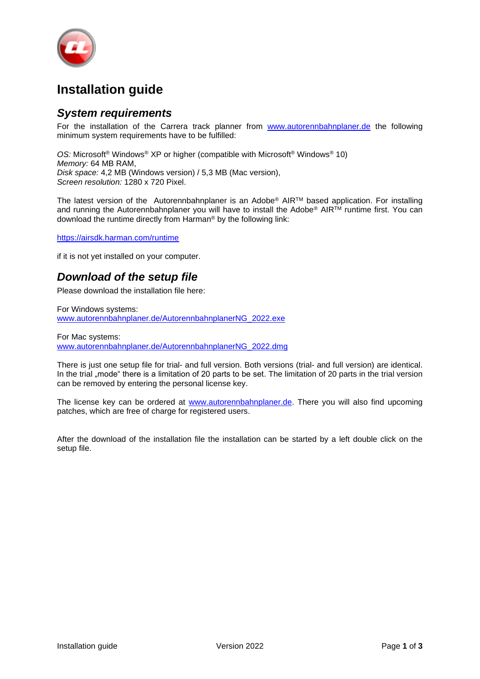

## **Installation guide**

### *System requirements*

For the installation of the Carrera track planner from [www.autorennbahnplaner.de](http://www.autorennbahnplaner.de/) the following minimum system requirements have to be fulfilled:

*OS:* Microsoft® Windows® XP or higher (compatible with Microsoft® Windows® 10) *Memory:* 64 MB RAM, *Disk space:* 4,2 MB (Windows version) / 5,3 MB (Mac version), *Screen resolution:* 1280 x 720 Pixel.

The latest version of the Autorennbahnplaner is an Adobe® AIR™ based application. For installing and running the Autorennbahnplaner you will have to install the Adobe<sup>®</sup> AIR<sup>TM</sup> runtime first. You can download the runtime directly from Harman® by the following link:

<https://airsdk.harman.com/runtime>

if it is not yet installed on your computer.

### *Download of the setup file*

Please download the installation file here:

For Windows systems: [www.autorennbahnplaner.de/AutorennbahnplanerNG\\_2022.exe](http://www.autorennbahnplaner.de/AutorennbahnplanerNG_2022.exe)

For Mac systems: [www.autorennbahnplaner.de/AutorennbahnplanerNG\\_2022.dmg](http://www.autorennbahnplaner.de/AutorennbahnplanerNG_2022.dmg)

There is just one setup file for trial- and full version. Both versions (trial- and full version) are identical. In the trial "mode" there is a limitation of 20 parts to be set. The limitation of 20 parts in the trial version can be removed by entering the personal license key.

The license key can be ordered at [www.autorennbahnplaner.de.](http://www.autorennbahnplaner.de/) There you will also find upcoming patches, which are free of charge for registered users.

After the download of the installation file the installation can be started by a left double click on the setup file.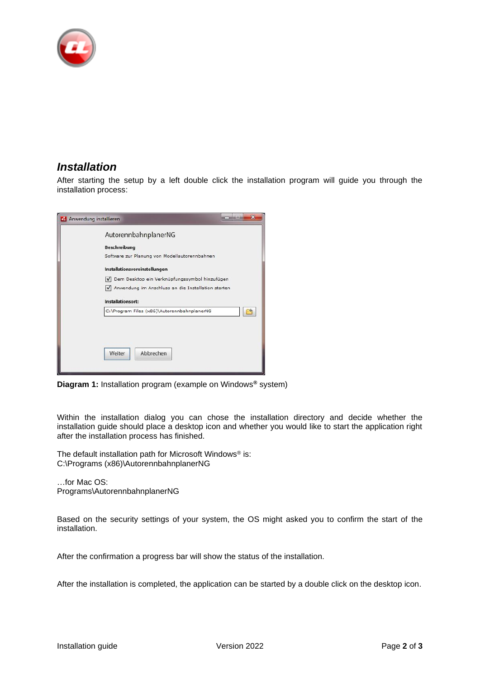

### *Installation*

After starting the setup by a left double click the installation program will guide you through the installation process:



**Diagram 1:** Installation program (example on Windows**®** system)

Within the installation dialog you can chose the installation directory and decide whether the installation guide should place a desktop icon and whether you would like to start the application right after the installation process has finished.

The default installation path for Microsoft Windows® is: C:\Programs (x86)\AutorennbahnplanerNG

…for Mac OS: Programs\AutorennbahnplanerNG

Based on the security settings of your system, the OS might asked you to confirm the start of the installation.

After the confirmation a progress bar will show the status of the installation.

After the installation is completed, the application can be started by a double click on the desktop icon.